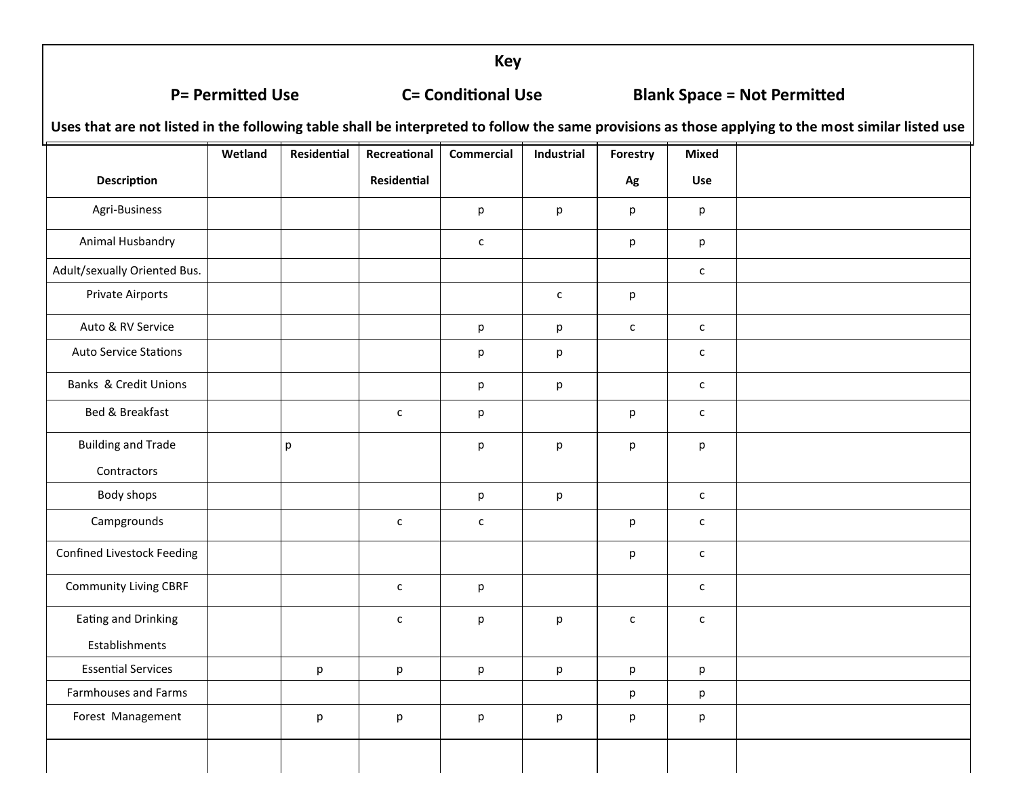**Key**

### **P= Permitted Use C= Conditional Use Blank Space = Not Permitted**

**Uses that are not listed in the following table shall be interpreted to follow the same provisions as those applying to the most similar listed use**

|                                   | Wetland | Residential | Recreational | <b>Commercial</b>                 | Industrial   | Forestry     | <b>Mixed</b> |  |
|-----------------------------------|---------|-------------|--------------|-----------------------------------|--------------|--------------|--------------|--|
| Description                       |         |             | Residential  |                                   |              | Ag           | Use          |  |
| Agri-Business                     |         |             |              | p                                 | p            | p            | p            |  |
| Animal Husbandry                  |         |             |              | $\mathsf{C}$                      |              | p            | p            |  |
| Adult/sexually Oriented Bus.      |         |             |              |                                   |              |              | $\mathsf{C}$ |  |
| Private Airports                  |         |             |              |                                   | $\mathsf{C}$ | p            |              |  |
| Auto & RV Service                 |         |             |              | p                                 | p            | $\mathsf{C}$ | $\mathsf{C}$ |  |
| <b>Auto Service Stations</b>      |         |             |              | p                                 | р            |              | $\mathsf{C}$ |  |
| Banks & Credit Unions             |         |             |              | p                                 | р            |              | $\mathsf{C}$ |  |
| Bed & Breakfast                   |         |             | $\mathsf{C}$ | p                                 |              | p            | $\mathsf{C}$ |  |
| <b>Building and Trade</b>         |         | p           |              | p                                 | р            | p            | p            |  |
| Contractors                       |         |             |              |                                   |              |              |              |  |
| Body shops                        |         |             |              | $\mathsf{p}% _{T}=\mathsf{p}_{T}$ | p            |              | $\mathsf{C}$ |  |
| Campgrounds                       |         |             | $\mathsf{C}$ | $\mathsf{C}$                      |              | p            | $\mathsf{C}$ |  |
| <b>Confined Livestock Feeding</b> |         |             |              |                                   |              | p            | $\mathsf{c}$ |  |
| <b>Community Living CBRF</b>      |         |             | $\mathsf{C}$ | p                                 |              |              | $\mathsf{C}$ |  |
| <b>Eating and Drinking</b>        |         |             | $\mathsf{C}$ | p                                 | p            | $\mathsf{c}$ | $\mathsf{C}$ |  |
| Establishments                    |         |             |              |                                   |              |              |              |  |
| <b>Essential Services</b>         |         | p           | p            | p                                 | р            | p            | p            |  |
| Farmhouses and Farms              |         |             |              |                                   |              | p            | p            |  |
| Forest Management                 |         | p           | p            | p                                 | p            | p            | p            |  |
|                                   |         |             |              |                                   |              |              |              |  |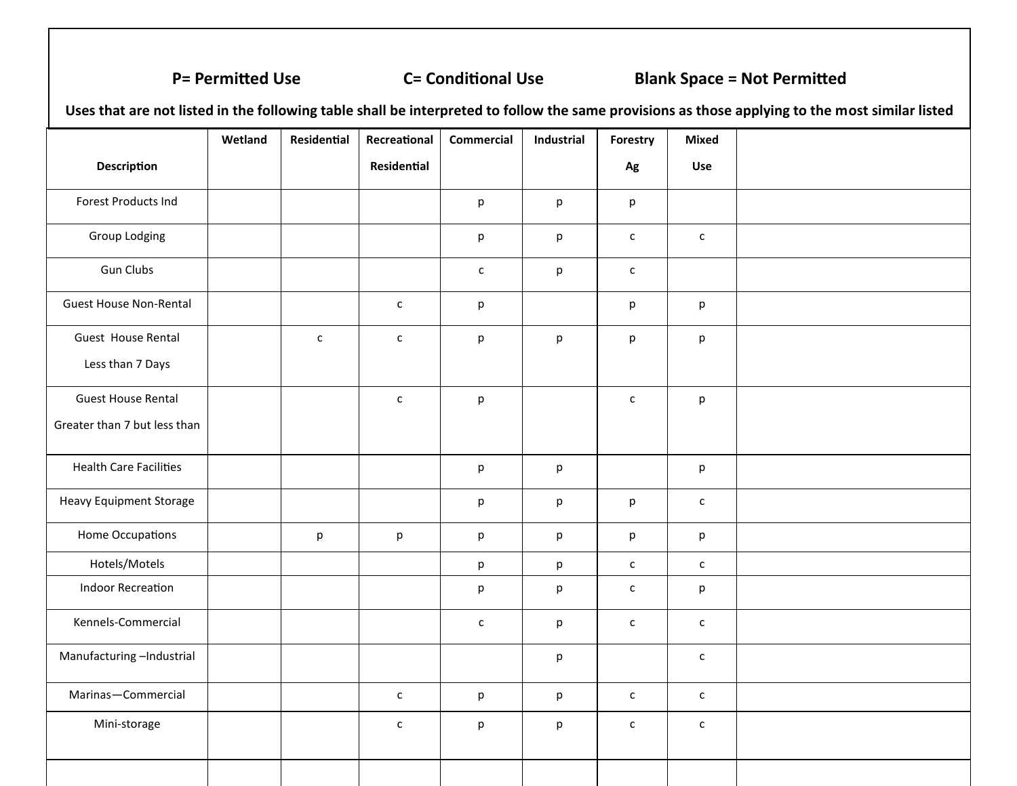### **P= Permitted Use C= Conditional Use Blank Space = Not Permitted**

**Uses that are not listed in the following table shall be interpreted to follow the same provisions as those applying to the most similar listed** 

|                                | Wetland | Residential  | Recreational | <b>Commercial</b>                 | Industrial | Forestry     | <b>Mixed</b> |  |
|--------------------------------|---------|--------------|--------------|-----------------------------------|------------|--------------|--------------|--|
| <b>Description</b>             |         |              | Residential  |                                   |            | Ag           | <b>Use</b>   |  |
| Forest Products Ind            |         |              |              | p                                 | p          | p            |              |  |
| <b>Group Lodging</b>           |         |              |              | p                                 | p          | $\mathsf{c}$ | $\mathsf{C}$ |  |
| <b>Gun Clubs</b>               |         |              |              | $\mathsf{C}$                      | p          | $\mathsf{C}$ |              |  |
| <b>Guest House Non-Rental</b>  |         |              | $\mathsf{C}$ | p                                 |            | p            | p            |  |
| Guest House Rental             |         | $\mathsf{C}$ | $\mathsf{C}$ | p                                 | p          | p            | p            |  |
| Less than 7 Days               |         |              |              |                                   |            |              |              |  |
| <b>Guest House Rental</b>      |         |              | $\mathsf{C}$ | p                                 |            | $\mathsf{C}$ | p            |  |
| Greater than 7 but less than   |         |              |              |                                   |            |              |              |  |
| <b>Health Care Facilities</b>  |         |              |              | $\mathsf{p}% _{T}=\mathsf{p}_{T}$ | p          |              | p            |  |
| <b>Heavy Equipment Storage</b> |         |              |              | p                                 | p          | p            | $\mathsf{C}$ |  |
| Home Occupations               |         | p            | p            | p                                 | р          | p            | p            |  |
| Hotels/Motels                  |         |              |              | p                                 | p          | $\mathsf{c}$ | $\mathsf{C}$ |  |
| <b>Indoor Recreation</b>       |         |              |              | p                                 | p          | $\mathsf{C}$ | p            |  |
| Kennels-Commercial             |         |              |              | $\mathsf{C}$                      | p          | $\mathsf{C}$ | $\mathsf{c}$ |  |
| Manufacturing-Industrial       |         |              |              |                                   | р          |              | $\mathsf{c}$ |  |
| Marinas-Commercial             |         |              | $\mathsf{C}$ | p                                 | p          | $\mathsf{C}$ | $\mathsf{c}$ |  |
| Mini-storage                   |         |              | $\mathsf{C}$ | p                                 | p          | $\mathsf{c}$ | $\mathsf{C}$ |  |
|                                |         |              |              |                                   |            |              |              |  |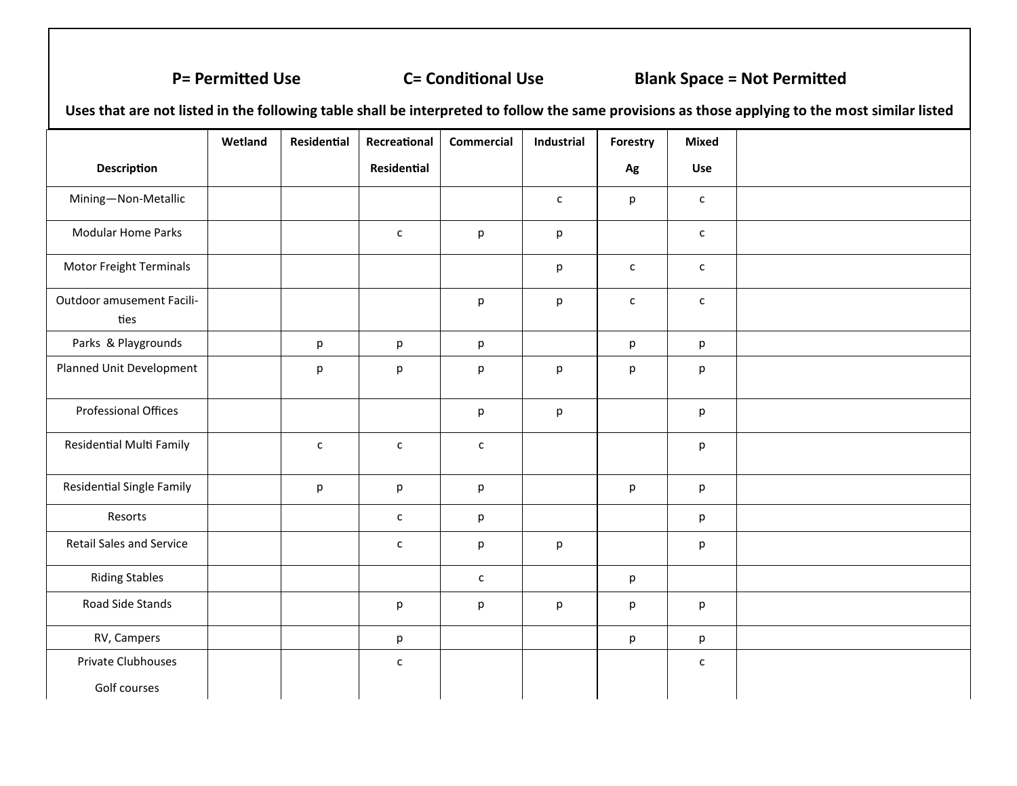### **P= Permitted Use C= Conditional Use Blank Space = Not Permitted**

**Uses that are not listed in the following table shall be interpreted to follow the same provisions as those applying to the most similar listed** 

|                                    | Wetland | Residential  | Recreational   | <b>Commercial</b> | Industrial   | Forestry     | <b>Mixed</b> |  |
|------------------------------------|---------|--------------|----------------|-------------------|--------------|--------------|--------------|--|
| <b>Description</b>                 |         |              | Residential    |                   |              | Ag           | Use          |  |
| Mining-Non-Metallic                |         |              |                |                   | $\mathsf{C}$ | p            | $\mathsf{C}$ |  |
| <b>Modular Home Parks</b>          |         |              | $\mathsf{C}^-$ | p                 | p            |              | $\mathsf{C}$ |  |
| Motor Freight Terminals            |         |              |                |                   | р            | $\mathsf{C}$ | $\mathsf{C}$ |  |
| Outdoor amusement Facili-<br>ties  |         |              |                | p                 | p            | $\mathsf{c}$ | $\mathsf{C}$ |  |
| Parks & Playgrounds                |         | p            | p              | p                 |              | p            | p            |  |
| Planned Unit Development           |         | p            | р              | p                 | р            | p            | p            |  |
| Professional Offices               |         |              |                | p                 | p            |              | p            |  |
| <b>Residential Multi Family</b>    |         | $\mathsf{C}$ | $\mathsf{C}$   | $\mathsf{c}$      |              |              | p            |  |
| <b>Residential Single Family</b>   |         | p            | p              | p                 |              | p            | p            |  |
| Resorts                            |         |              | $\mathsf{C}^-$ | p                 |              |              | p            |  |
| <b>Retail Sales and Service</b>    |         |              | c              | p                 | р            |              | p            |  |
| <b>Riding Stables</b>              |         |              |                | $\mathsf{C}$      |              | p            |              |  |
| Road Side Stands                   |         |              | р              | p                 | р            | p            | p            |  |
| RV, Campers                        |         |              | p              |                   |              | p            | p            |  |
| Private Clubhouses<br>Golf courses |         |              | $\mathsf{C}$   |                   |              |              | $\mathsf{C}$ |  |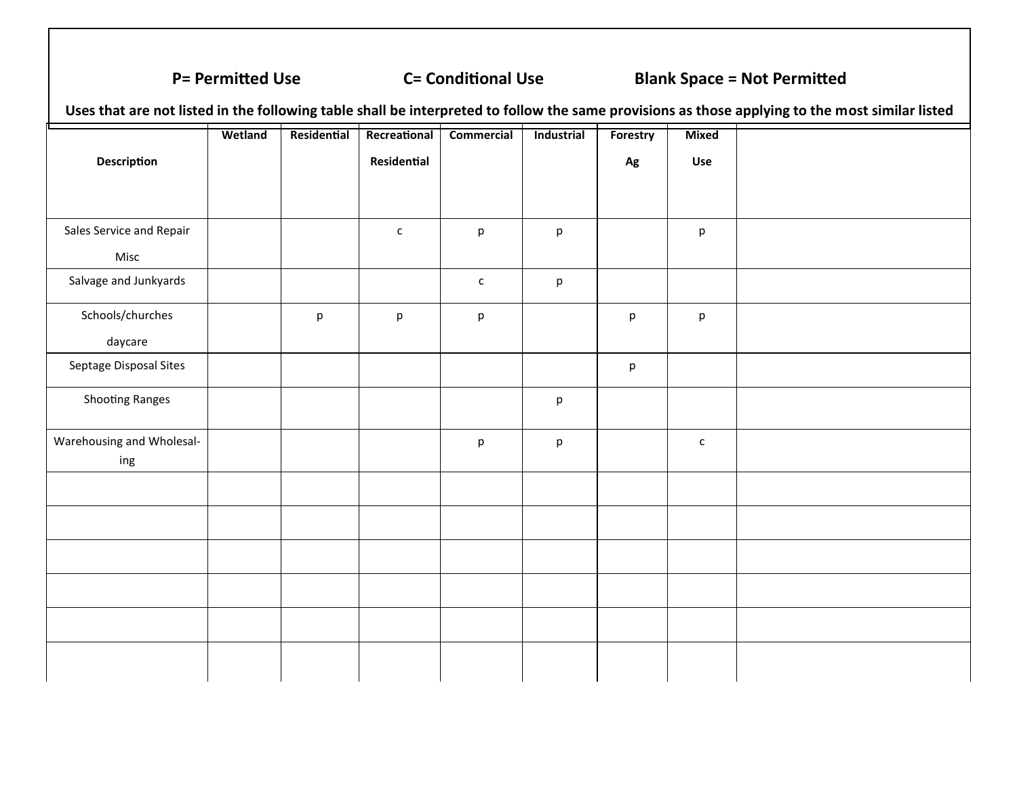### **P= Permitted Use C= Conditional Use Blank Space = Not Permitted**

**Uses that are not listed in the following table shall be interpreted to follow the same provisions as those applying to the most similar listed Description Wetland Residential Recreational Residential Commercial Industrial Forestry Ag Mixed Use** Sales Service and Repair Misc c | p | p | p Salvage and Junkyards  $\begin{vmatrix} 1 & 1 & 1 \\ 1 & 1 & 1 \\ 1 & 1 & 1 \end{vmatrix}$  c p Schools/churches daycare p p p p p Septage Disposal Sites **but a controlled by the controller of the controller of the controller of the controller** Shooting Ranges and provide the property of the property of the property of the property of the property of the property of the property of the property of the property of the property of the property of the property of th Warehousing and Wholesaling p p c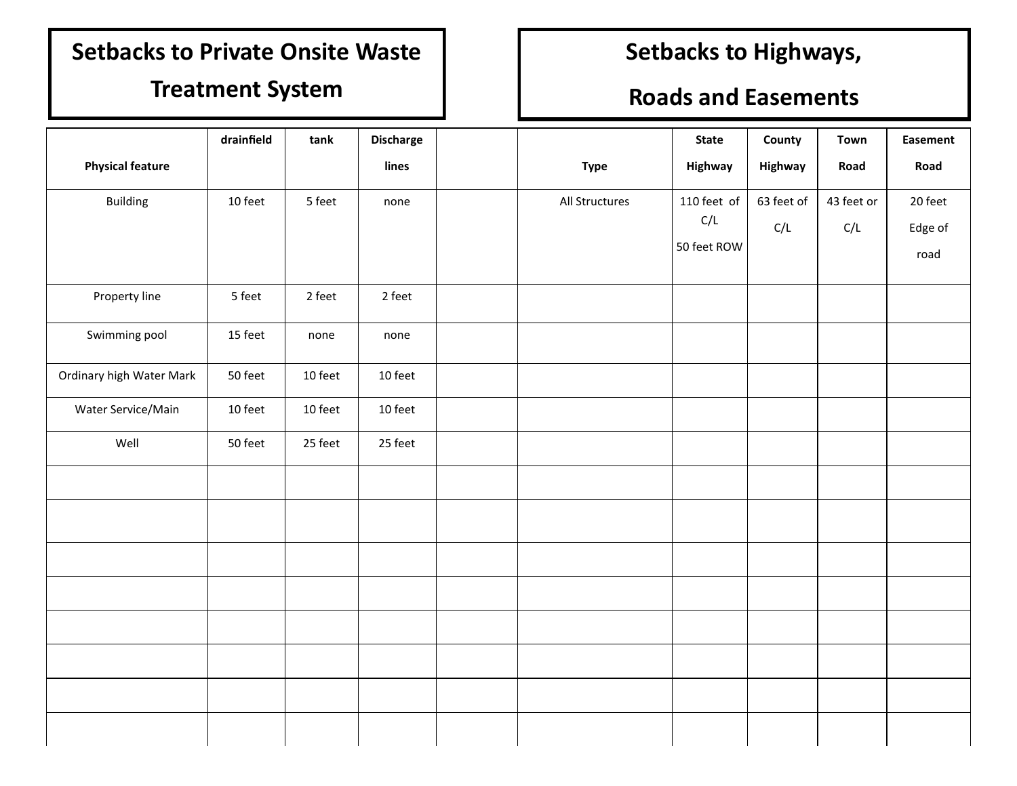# **Setbacks to Private Onsite Waste**

### **Treatment System**

# **Setbacks to Highways,**

## **Roads and Easements**

|                          | drainfield | tank    | <b>Discharge</b> |                | <b>State</b> | County     | Town       | <b>Easement</b> |
|--------------------------|------------|---------|------------------|----------------|--------------|------------|------------|-----------------|
| <b>Physical feature</b>  |            |         | lines            | <b>Type</b>    | Highway      | Highway    | Road       | Road            |
| <b>Building</b>          | 10 feet    | 5 feet  | none             | All Structures | 110 feet of  | 63 feet of | 43 feet or | 20 feet         |
|                          |            |         |                  |                | C/L          | C/L        | C/L        | Edge of         |
|                          |            |         |                  |                | 50 feet ROW  |            |            | road            |
| Property line            | 5 feet     | 2 feet  | 2 feet           |                |              |            |            |                 |
| Swimming pool            | 15 feet    | none    | none             |                |              |            |            |                 |
| Ordinary high Water Mark | 50 feet    | 10 feet | 10 feet          |                |              |            |            |                 |
| Water Service/Main       | 10 feet    | 10 feet | 10 feet          |                |              |            |            |                 |
| Well                     | 50 feet    | 25 feet | 25 feet          |                |              |            |            |                 |
|                          |            |         |                  |                |              |            |            |                 |
|                          |            |         |                  |                |              |            |            |                 |
|                          |            |         |                  |                |              |            |            |                 |
|                          |            |         |                  |                |              |            |            |                 |
|                          |            |         |                  |                |              |            |            |                 |
|                          |            |         |                  |                |              |            |            |                 |
|                          |            |         |                  |                |              |            |            |                 |
|                          |            |         |                  |                |              |            |            |                 |